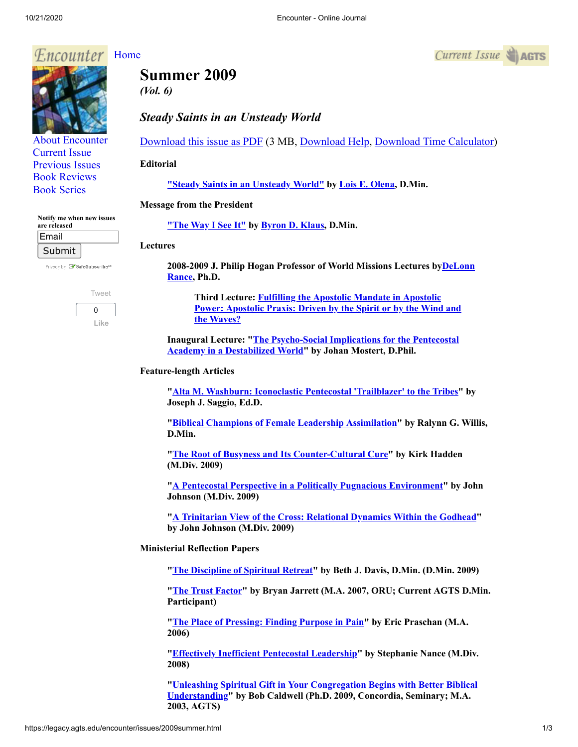### *<u>F.ncounter</u>* [Home](http://legacy.agts.edu/encounter/index.htm)

# **Summer 2009**

*(Vol. 6)*

## *Steady Saints in an Unsteady World*

[Download this issue as PDF](https://legacy.agts.edu/encounter/issues/2009summer.pdf) (3 MB, [Download Help](javascript:;), [Download Time Calculator](http://www.onlineconversion.com/downloadspeed.htm))

### **Editorial**

**["](https://legacy.agts.edu/encounter/articles/2008_winter/editorial.htm)[Steady Saints in an Unsteady World](https://legacy.agts.edu/encounter/articles/2009summer/editorial.htm)["](https://legacy.agts.edu/encounter/articles/2008_winter/editorial.htm) by [Lois E. Olena,](https://legacy.agts.edu/faculty/visiting.html#olena) D.Min.**

### **Message from the President**

**["](https://legacy.agts.edu/encounter/articles/2008_winter/klaus.htm)[The Way I See It](https://legacy.agts.edu/encounter/articles/2009summer/klaus.htm)["](https://legacy.agts.edu/encounter/articles/2008_winter/klaus.htm) by [Byron D. Klaus](http://legacy.agts.edu/faculty/klaus.html), D.Min.**

### **Lectures**

**[2008-2009 J. Philip Hogan Professor of World Missions Lectures byDeLonn](https://legacy.agts.edu/faculty/rance.html) Rance, Ph.D.**

**Third Lecture: Fulfilling the Apostolic Mandate in Apostolic [Power: Apostolic Praxis: Driven by the Spirit or by the Wind and](https://legacy.agts.edu/encounter/articles/2009summer/rance.htm) the Waves?**

**[Inaugural Lecture: "The Psycho-Social Implications for the Pentecostal](https://legacy.agts.edu/encounter/articles/2009summer/mostert.htm)**

**Feature-length Articles**

**"[Alta M. Washburn: Iconoclastic Pentecostal 'Trailblazer' to the Tribes"](https://legacy.agts.edu/encounter/articles/2009summer/saggio.htm) by Joseph J. Saggio, Ed.D.**

**"[Biblical Champions of Female Leadership Assimilation"](https://legacy.agts.edu/encounter/articles/2009summer/willis.htm) by Ralynn G. Willis, D.Min.**

**"[The Root of Busyness and Its Counter-Cultural Cure](https://legacy.agts.edu/encounter/articles/2009summer/hadden.htm)" by Kirk Hadden**

**"[A Pentecostal Perspective in a Politically Pugnacious Environment"](https://legacy.agts.edu/encounter/articles/2009summer/johnson_politics.htm) by John Johnson (M.Div. 2009)**

**"[A Trinitarian View of the Cross: Relational Dynamics Within the Godhead](https://legacy.agts.edu/encounter/articles/2009summer/johnson_trinity.htm)" by John Johnson (M.Div. 2009)**

**Ministerial Reflection Papers**

**"[The Discipline of Spiritual Retreat"](https://legacy.agts.edu/encounter/articles/2009summer/davis.htm) by Beth J. Davis, D.Min. (D.Min. 2009)**

**"[The Trust Factor"](https://legacy.agts.edu/encounter/articles/2009summer/jarrett.htm) by Bryan Jarrett (M.A. 2007, ORU; Current AGTS D.Min. Participant)**

**"[The Place of Pressing: Finding Purpose in Pain"](https://legacy.agts.edu/encounter/articles/2009summer/praschan.htm) by Eric Praschan (M.A. 2006)**

**"[Effectively Inefficient Pentecostal Leadership"](https://legacy.agts.edu/encounter/articles/2009summer/nance.htm) by Stephanie Nance (M.Div. 2008)**

**["Unleashing Spiritual Gift in Your Congregation Begins with Better Biblical](https://legacy.agts.edu/encounter/articles/2009summer/caldwell.htm) Understanding" by Bob Caldwell (Ph.D. 2009, Concordia, Seminary; M.A.**

**Academy in a Destabilized World" by Johan Mostert, D.Phil.**

**(M.Div. 2009)**





[About Encounter](http://legacy.agts.edu/encounter/about.html) [Current Issue](http://legacy.agts.edu/encounter/current.html) [Previous Issues](http://legacy.agts.edu/encounter/previous.html) [Book Reviews](http://legacy.agts.edu/encounter/book_reviews.html) [Book Series](http://legacy.agts.edu/encounter/resources.html)

**Notify me when new issues**

Privacy by **EV** SafeSubscribe<sup>st</sup>

[Tweet](https://twitter.com/intent/tweet?original_referer=https%3A%2F%2Flegacy.agts.edu%2F&ref_src=twsrc%5Etfw&related=anywhereTheJavascriptAPI&text=Encounter%20-%20Online%20Journal&tw_p=tweetbutton&url=http%3A%2F%2Flegacy.agts.edu%2Fencounter%2Fbook_reviews%2F2012summer%2Freview_au.html&via=AGTSTweets)  $\Omega$ **Like**

**are released** Email Submit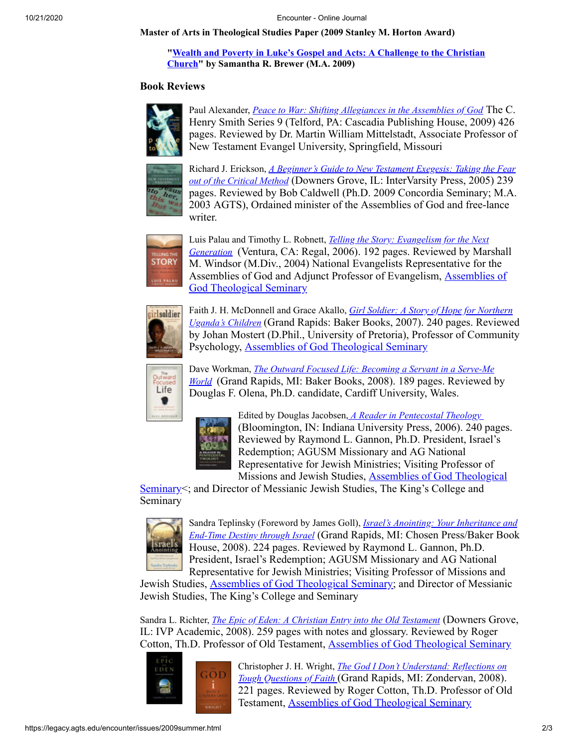**Master of Arts in Theological Studies Paper (2009 Stanley M. Horton Award)**

### **["Wealth and Poverty in Luke's Gospel and Acts: A Challenge to the Christian](https://legacy.agts.edu/encounter/articles/2009summer/brewer.htm) Church" by Samantha R. Brewer (M.A. 2009)**

### **Book Reviews**



Paul Alexander, *[Peace to War: Shifting Allegiances in the Assemblies of God](https://legacy.agts.edu/encounter/book_reviews/2009summer/review_mittelstadt.html)* The C. Henry Smith Series 9 (Telford, PA: Cascadia Publishing House, 2009) 426 pages. Reviewed by Dr. Martin William Mittelstadt, Associate Professor of New Testament Evangel University, Springfield, Missouri



Richard J. Erickson, *[A Beginner's Guide to New Testament Exegesis: Taking the Fear](https://legacy.agts.edu/encounter/book_reviews/2009summer/review_caldwell.html) out of the Critical Method* (Downers Grove, IL: InterVarsity Press, 2005) 239 pages. Reviewed by Bob Caldwell (Ph.D. 2009 Concordia Seminary; M.A. 2003 AGTS), Ordained minister of the Assemblies of God and free-lance writer.



Luis Palau and Timothy L. Robnett, *Telling the Story: Evangelism for the Next Generation* [\(Ventura, CA: Regal, 2006\). 192 pages. Reviewed by Mar](https://legacy.agts.edu/encounter/book_reviews/2009summer/review_windsor.html)shall M. Windsor (M.Div., 2004) National Evangelists Representative for the [Assemblies of God and Adjunct Professor of Evangelism, Assemblies of](http://legacy.agts.edu/) God Theological Seminary



Faith J. H. McDonnell and Grace Akallo, *Girl Soldier: A Story of Hope for Northern Uganda's Children* [\(Grand Rapids: Baker Books, 2007\). 240 pages. Reviewe](https://legacy.agts.edu/encounter/book_reviews/2009summer/review_mostert.html)d by Johan Mostert (D.Phil., University of Pretoria), Professor of Community Psychology, [Assemblies of God Theological Seminary](http://legacy.agts.edu/)



Dave Workman, *The Outward Focused Life: Becoming a Servant in a Serve-Me World*[\(Grand Rapids, MI: Baker Books, 2008\). 189 pages. Reviewed b](https://legacy.agts.edu/encounter/book_reviews/2009summer/review_olena.html)y Douglas F. Olena, Ph.D. candidate, Cardiff University, Wales.



Edited by Douglas Jacobsen, *[A Reader in Pentecostal Theology](https://legacy.agts.edu/encounter/book_reviews/2009summer/review_gannon_theology.html)*  (Bloomington, IN: Indiana University Press, 2006). 240 pages. Reviewed by Raymond L. Gannon, Ph.D. President, Israel's Redemption; AGUSM Missionary and AG National Representative for Jewish Ministries; Visiting Professor of Missions and Jewish Studies, Assemblies of God Theological

[Seminary<; and Director of Messianic Jewish Studies, The King's College and](http://legacy.agts.edu/) Seminary



Sandra Teplinsky (Foreword by James Goll), *Israel's Anointing: Your Inheritance and End-Time Destiny through Israel* [\(Grand Rapids, MI: Chosen Press/Baker Book](https://legacy.agts.edu/encounter/book_reviews/2009summer/review_gannon_israels_anointing.html) House, 2008). 224 pages. Reviewed by Raymond L. Gannon, Ph.D. President, Israel's Redemption; AGUSM Missionary and AG National Representative for Jewish Ministries; Visiting Professor of Missions and

Jewish Studies, [Assemblies of God Theological Seminary](http://legacy.agts.edu/); and Director of Messianic Jewish Studies, The King's College and Seminary

Sandra L. Richter, *[The Epic of Eden: A Christian Entry into the Old Testament](https://legacy.agts.edu/encounter/book_reviews/2009summer/review_cotton_eden.html)* (Downers Grove, IL: IVP Academic, 2008). 259 pages with notes and glossary. Reviewed by Roger Cotton, Th.D. Professor of Old Testament, [Assemblies of God Theological Seminary](http://legacy.agts.edu/)



Christopher J. H. Wright, *The God I Don't Understand: Reflections on Tough Questions of Faith* [\(Grand Rapids, MI: Zondervan, 2008\).](https://legacy.agts.edu/encounter/book_reviews/2009summer/review_cotton_dont_understand.html) 221 pages. Reviewed by Roger Cotton, Th.D. Professor of Old Testament, [Assemblies of God Theological Seminary](http://legacy.agts.edu/)